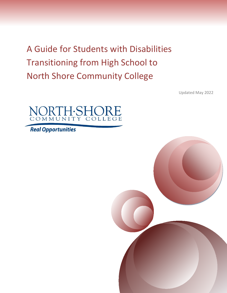A Guide for Students with Disabilities Transitioning from High School to North Shore Community College

Updated May 2022



**Real Opportunities** 

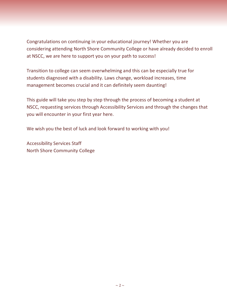Congratulations on continuing in your educational journey! Whether you are considering attending North Shore Community College or have already decided to enroll at NSCC, we are here to support you on your path to success!

Transition to college can seem overwhelming and this can be especially true for students diagnosed with a disability. Laws change, workload increases, time management becomes crucial and it can definitely seem daunting!

This guide will take you step by step through the process of becoming a student at NSCC, requesting services through Accessibility Services and through the changes that you will encounter in your first year here.

We wish you the best of luck and look forward to working with you!

Accessibility Services Staff North Shore Community College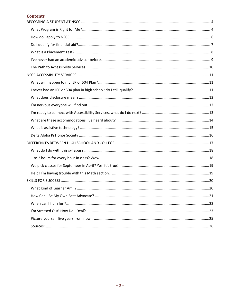# **Contents**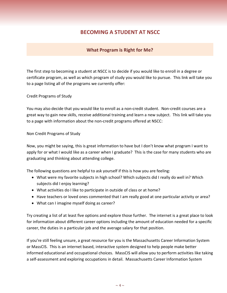# **BECOMING A STUDENT AT NSCC**

## **What Program is Right for Me?**

<span id="page-3-1"></span><span id="page-3-0"></span>The first step to becoming a student at NSCC is to decide if you would like to enroll in a degree or certificate program, as well as which program of study you would like to pursue. This link will take you to a page listing all of the programs we currently offer:

[Credit Programs of Study](http://www.northshore.edu/academics/programs)

You may also decide that you would like to enroll as a non-credit student. Non-credit courses are a great way to gain new skills, receive additional training and learn a new subject. This link will take you to a page with information about the non-credit programs offered at NSCC:

[Non Credit Programs of Study](http://community.northshore.edu/programs)

Now, you might be saying, this is great information to have but I don't know what program I want to apply for or what I would like as a career when I graduate? This is the case for many students who are graduating and thinking about attending college.

The following questions are helpful to ask yourself if this is how you are feeling:

- What were my favorite subjects in high school? Which subjects did I really do well in? Which subjects did I enjoy learning?
- What activities do I like to participate in outside of class or at home?
- Have teachers or loved ones commented that I am really good at one particular activity or area?
- What can I imagine myself doing as career?

Try creating a list of at least five options and explore those further. The internet is a great place to look for information about different career options including the amount of education needed for a specific career, the duties in a particular job and the average salary for that position.

If you're still feeling unsure, a great resource for you is the Massachusetts Career Information System or MassCIS. This is an internet based, interactive system designed to help people make better informed educational and occupational choices. MassCIS will allow you to perform activities like taking a self-assessment and exploring occupations in detail. [Massachusetts Career Information System](http://www.masscis.intocareers.com/)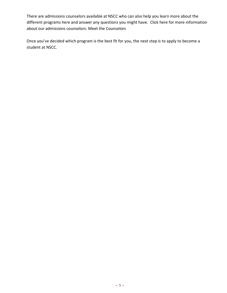There are admissions counselors available at NSCC who can also help you learn more about the different programs here and answer any questions you might have. Click here for more information about our admissions counselors: [Meet the Counselors](http://www.northshore.edu/admissions/apply/counselors.html)

Once you've decided which program is the best fit for you, the next step is to apply to become a student at NSCC.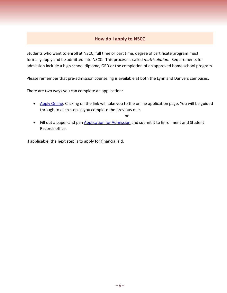# **How do I apply to NSCC**

<span id="page-5-0"></span>Students who want to enroll at NSCC, full time or part time, degree of certificate program must formally apply and be admitted into NSCC. This process is called *matriculation.* Requirements for admission include a high school diploma, GED or the completion of an approved home school program.

Please remember that pre-admission counseling is available at both the Lynn and Danvers campuses.

There are two ways you can complete an application:

• [Apply Online.](https://www.northshore.edu/admissions/apply/index.html) Clicking on the link will take you to the online application page. You will be guided through to each step as you complete the previous one.

or

• Fill out a paper-and pen [Application for Admission](https://www.northshore.edu/admissions/apply/index.html) and submit it to Enrollment and Student Records office.

If applicable, the next step is to apply for financial aid.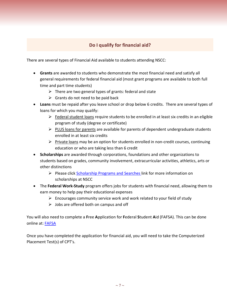# **Do I qualify for financial aid?**

<span id="page-6-0"></span>There are several types of Financial Aid available to students attending NSCC:

- **Grants** are awarded to students who demonstrate the most financial need and satisfy all general requirements for federal financial aid (most grant programs are available to both full time and part time students)
	- $\triangleright$  There are two general types of grants: federal and state
	- $\triangleright$  Grants do not need to be paid back
- **Loans** must be repaid after you leave school or drop below 6 credits. There are several types of loans for which you may qualify:
	- $\triangleright$  Federal student loans require students to be enrolled in at least six credits in an eligible program of study (degree or certificate)
	- $\triangleright$  PLUS loans for parents are available for parents of dependent undergraduate students enrolled in at least six credits
	- $\triangleright$  Private loans may be an option for students enrolled in non-credit courses, continuing education or who are taking less than 6 credit
- **Scholarships** are awarded through corporations, foundations and other organizations to students based on grades, community involvement, extracurricular activities, athletics, arts or other distinctions
	- $\triangleright$  Please click [Scholarship Programs and Searches](http://www.northshore.edu/scholarships/) link for more information on scholarships at NSCC
- The **Federal Work-Study** program offers jobs for students with financial need, allowing them to earn money to help pay their educational expenses
	- $\triangleright$  Encourages community service work and work related to your field of study
	- $\triangleright$  Jobs are offered both on campus and off

You will also need to complete a **F**ree **A**pplication for **F**ederal **S**tudent **A**id (FAFSA). This can be done online at: [FAFSA](https://studentaid.gov/h/apply-for-aid/fafsa)

Once you have completed the application for financial aid, you will need to take the Computerized Placement Test(s) of CPT's.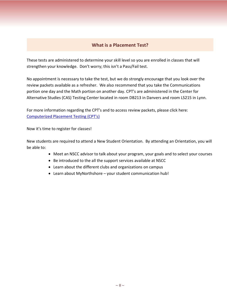# **What is a Placement Test?**

<span id="page-7-0"></span>These tests are administered to determine your skill level so you are enrolled in classes that will strengthen your knowledge. Don't worry; this isn't a Pass/Fail test.

No appointment is necessary to take the test, but we do strongly encourage that you look over the review packets available as a refresher. We also recommend that you take the Communications portion one day and the Math portion on another day. CPT's are administered in the Center for Alternative Studies (CAS) Testing Center located in room DB213 in Danvers and room LS215 in Lynn.

For more information regarding the CPT's and to access review packets, please click here: [Computerized Placement Testing \(CPT's\)](https://www.northshore.edu/cas/testing/)

Now it's time to register for classes!

New students are required to attend a New Student Orientation. By attending an Orientation, you will be able to:

- Meet an NSCC advisor to talk about your program, your goals and to select your courses
- Be introduced to the all the support services available at NSCC
- Learn about the different clubs and organizations on campus
- Learn about MyNorthshore your student communication hub!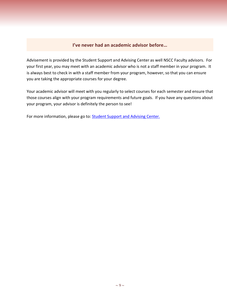### **I've never had an academic advisor before…**

<span id="page-8-0"></span>Advisement is provided by the Student Support and Advising Center as well NSCC Faculty advisors. For your first year, you may meet with an academic advisor who is not a staff member in your program. It is always best to check in with a staff member from your program, however, so that you can ensure you are taking the appropriate courses for your degree.

Your academic advisor will meet with you regularly to select courses for each semester and ensure that those courses align with your program requirements and future goals. If you have any questions about your program, your advisor is definitely the person to see!

For more information, please go to: **Student Support and Advising Center.**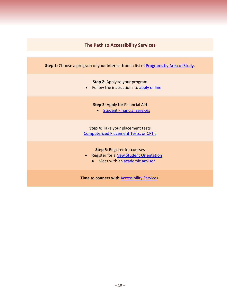# **The Path to Accessibility Services**

<span id="page-9-0"></span>

| <b>Step 1:</b> Choose a program of your interest from a list of Programs by Area of Study.                                                      |
|-------------------------------------------------------------------------------------------------------------------------------------------------|
| <b>Step 2:</b> Apply to your program<br>Follow the instructions to apply online<br>$\bullet$                                                    |
| <b>Step 3: Apply for Financial Aid</b><br>• Student Financial Services                                                                          |
| Step 4: Take your placement tests<br><b>Computerized Placement Tests, or CPT's</b>                                                              |
| <b>Step 5: Register for courses</b><br><b>Register for a New Student Orientation</b><br>$\bullet$<br>Meet with an academic advisor<br>$\bullet$ |
| <b>Time to connect with Accessibility Services!</b>                                                                                             |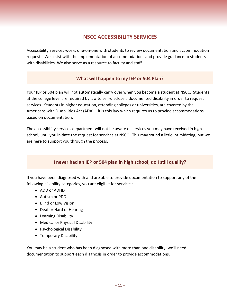# **NSCC ACCESSIBILITY SERVICES**

<span id="page-10-0"></span>Accessibility Services works one-on-one with students to review documentation and accommodation requests. We assist with the implementation of accommodations and provide guidance to students with disabilities. We also serve as a resource to faculty and staff.

# **What will happen to my IEP or 504 Plan?**

<span id="page-10-1"></span>Your IEP or 504 plan will not automatically carry over when you become a student at NSCC. Students at the college level are required by law to self-disclose a documented disability in order to request services. Students in higher education, attending colleges or universities, are covered by the Americans with Disabilities Act (ADA) – it is this law which requires us to provide accommodations based on documentation.

The accessibility services department will not be aware of services you may have received in high school, until you initiate the request for services at NSCC. This may sound a little intimidating, but we are here to support you through the process.

# **I never had an IEP or 504 plan in high school; do I still qualify?**

<span id="page-10-2"></span>If you have been diagnosed with and are able to provide documentation to support any of the following disability categories, you are eligible for services:

- ADD or ADHD
- Autism or PDD
- Blind or Low Vision
- Deaf or Hard of Hearing
- Learning Disability
- Medical or Physical Disability
- Psychological Disability
- Temporary Disability

You may be a student who has been diagnosed with more than one disability; we'll need documentation to support each diagnosis in order to provide accommodations.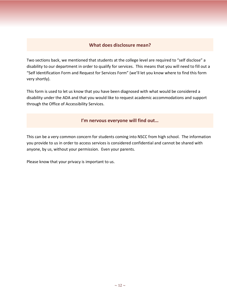### **What does disclosure mean?**

<span id="page-11-0"></span>Two sections back, we mentioned that students at the college level are required to "self disclose" a disability to our department in order to qualify for services. This means that you will need to fill out a "Self Identification Form and Request for Services Form" (we'll let you know where to find this form very shortly).

This form is used to let us know that you have been diagnosed with what would be considered a disability under the ADA and that you would like to request academic accommodations and support through the Office of Accessibility Services.

### **I'm nervous everyone will find out…**

<span id="page-11-1"></span>This can be a very common concern for students coming into NSCC from high school. The information you provide to us in order to access services is considered confidential and cannot be shared with anyone, by us, without your permission. Even your parents.

Please know that your privacy is important to us.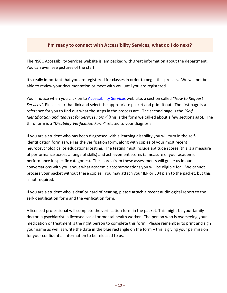# <span id="page-12-0"></span>**I'm ready to connect with Accessibility Services, what do I do next?**

The NSCC Accessibility Services website is jam packed with great information about the department. You can even see pictures of the staff!

It's really important that you are registered for classes in order to begin this process. We will not be able to review your documentation or meet with you until you are registered.

You'll notice when you click on to [Accessibility Services](http://www.northshore.edu/accessibility) web site, a section called *"How to Request Services".* Please click that link and select the appropriate packet and print it out. The first page is a reference for you to find out what the steps in the process are. The second page is the *"Self Identification and Request for Services Form"* (this is the form we talked about a few sections ago). The third form is a *"Disability Verification Form"* related to your diagnosis.

If you are a student who has been diagnosed with a learning disability you will turn in the selfidentification form as well as the verification form, along with copies of your most recent neuropsychological or educational testing. The testing must include aptitude scores (this is a measure of performance across a range of skills) and achievement scores (a measure of your academic performance in specific categories). The scores from these assessments will guide us in our conversations with you about what academic accommodations you will be eligible for. We cannot process your packet without these copies. You may attach your IEP or 504 plan to the packet, but this is not required.

If you are a student who is deaf or hard of hearing, please attach a recent audiological report to the self-identification form and the verification form.

A licensed professional will complete the verification form in the packet. This might be your family doctor, a psychiatrist, a licensed social or mental health worker. The person who is overseeing your medication or treatment is the right person to complete this form. Please remember to print and sign your name as well as write the date in the blue rectangle on the form – this is giving your permission for your confidential information to be released to us.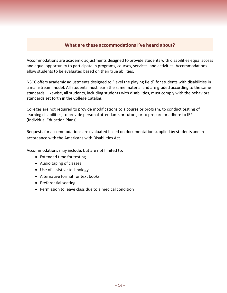### **What are these accommodations I've heard about?**

<span id="page-13-0"></span>Accommodations are academic adjustments designed to provide students with disabilities equal access and equal opportunity to participate in programs, courses, services, and activities. Accommodations allow students to be evaluated based on their true abilities.

NSCC offers academic adjustments designed to "level the playing field" for students with disabilities in a mainstream model. All students must learn the same material and are graded according to the same standards. Likewise, all students, including students with disabilities, must comply with the behavioral standards set forth in the College Catalog.

Colleges are not required to provide modifications to a course or program, to conduct testing of learning disabilities, to provide personal attendants or tutors, or to prepare or adhere to IEPs (Individual Education Plans).

Requests for accommodations are evaluated based on documentation supplied by students and in accordance with the Americans with Disabilities Act.

Accommodations may include, but are not limited to:

- Extended time for testing
- Audio taping of classes
- Use of assistive technology
- Alternative format for text books
- Preferential seating
- Permission to leave class due to a medical condition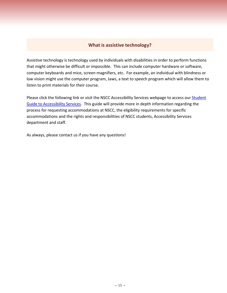### **What is assistive technology?**

<span id="page-14-0"></span>Assistive technology is technology used by individuals with disabilities in order to perform functions that might otherwise be difficult or impossible. This can include computer hardware or software, computer keyboards and mice, screen magnifiers, etc. For example, an individual with blindness or low vision might use the computer program, Jaws, a text to speech program which will allow them to listen to print materials for their course.

Please click the following link or visit the NSCC Accessibility Services webpage to access our Student [Guide to Accessibility Services.](https://www.northshore.edu/accessibility/files/student_guide.pdf) This guide will provide more in depth information regarding the process for requesting accommodations at NSCC, the eligibility requirements for specific accommodations and the rights and responsibilities of NSCC students, Accessibility Services department and staff.

As always, please contact us if you have any questions!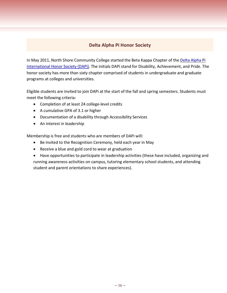# **Delta Alpha Pi Honor Society**

<span id="page-15-0"></span>In May 2011, North Shore Community College started the Beta Kappa Chapter of the [Delta Alpha Pi](http://www.northshore.edu/accessibility/dapi/)  [International Honor Society \(DAPi\).](http://www.northshore.edu/accessibility/dapi/) The initials DAPi stand for Disability, Achievement, and Pride. The honor society has more than sixty chapter comprised of students in undergraduate and graduate programs at colleges and universities.

Eligible students are invited to join DAPi at the start of the fall and spring semesters. Students must meet the following criteria:

- Completion of at least 24 college-level credits
- A cumulative GPA of 3.1 or higher
- Documentation of a disability through Accessibility Services
- An interest in leadership

Membership is free and students who are members of DAPi will:

- Be invited to the Recognition Ceremony, held each year in May
- Receive a blue and gold cord to wear at graduation
- Have opportunities to participate in leadership activities (these have included, organizing and running awareness activities on campus, tutoring elementary school students, and attending student and parent orientations to share experiences).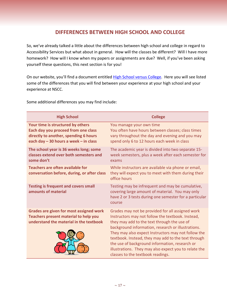# **DIFFERENCES BETWEEN HIGH SCHOOL AND COLLEGE**

<span id="page-16-0"></span>So, we've already talked a little about the differences between high school and college in regard to Accessibility Services but what about in general. How will the classes be different? Will I have more homework? How will I know when my papers or assignments are due? Well, if you've been asking yourself these questions, this next section is for you!

On our website, you'll find a document entitled [High School versus](http://www.northshore.edu/accessibility/request-services.html) College. Here you will see listed some of the differences that you will find between your experience at your high school and your experience at NSCC.

**High School College Your time is structured by others** You manage your own time **Each day you proceed from one class directly to another, spending 6 hours each day – 30 hours a week – in class** You often have hours between classes; class times vary throughout the day and evening and you may spend only 6 to 12 hours each week in class **The school year is 36 weeks long; some classes extend over both semesters and some don't** The academic year is divided into two separate 15 week semesters, plus a week after each semester for exams **Teachers are often available for conversation before, during, or after class** While instructors are available via phone or email, they will expect you to meet with them during their office hours **Testing is frequent and covers small amounts of material** Testing may be infrequent and may be cumulative, covering large amount of material. You may only have 2 or 3 tests during one semester for a particular course **Grades are given for most assigned work** Grades may not be provided for all assigned work **Teachers present material to help you understand the material in the textbook** Instructors may not follow the textbook. Instead, they may add to the text through the use of background information, research or illustrations. They may also expect Instructors may not follow the textbook. Instead, they may add to the text through the use of background information, research or illustrations. They may also expect you to relate the classes to the textbook readings.

Some additional differences you may find include: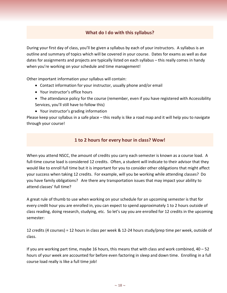# **What do I do with this syllabus?**

<span id="page-17-0"></span>During your first day of class, you'll be given a syllabus by each of your instructors. A syllabus is an outline and summary of topics which will be covered in your course. Dates for exams as well as due dates for assignments and projects are typically listed on each syllabus – this really comes in handy when you're working on your schedule and time management!

Other important information your syllabus will contain:

- Contact information for your instructor, usually phone and/or email
- Your instructor's office hours
- The attendance policy for the course (remember, even if you have registered with Accessibility Services, you'll still have to follow this)
- Your instructor's grading information

<span id="page-17-1"></span>Please keep your syllabus in a safe place – this really is like a road map and it will help you to navigate through your course!

# **1 to 2 hours for every hour in class? Wow!**

When you attend NSCC, the amount of credits you carry each semester is known as a course load. A full-time course load is considered 12 credits. Often, a student will indicate to their advisor that they would like to enroll full time but it is important for you to consider other obligations that might affect your success when taking 12 credits. For example, will you be working while attending classes? Do you have family obligations? Are there any transportation issues that may impact your ability to attend classes' full time?

A great rule of thumb to use when working on your schedule for an upcoming semester is that for every credit hour you are enrolled in, you can expect to spend approximately 1 to 2 hours outside of class reading, doing research, studying, etc. So let's say you are enrolled for 12 credits in the upcoming semester:

12 credits (4 courses) = 12 hours in class per week & 12-24 hours study/prep time per week, outside of class.

If you are working part time, maybe 16 hours, this means that with class and work combined, 40 – 52 hours of your week are accounted for before even factoring in sleep and down time. Enrolling in a full course load really is like a full time job!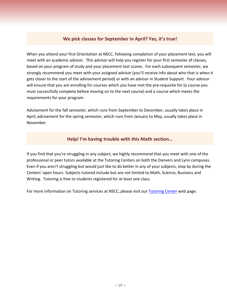# **We pick classes for September in April? Yes, it's true!**

<span id="page-18-0"></span>When you attend your first Orientation at NSCC, following completion of your placement test, you will meet with an academic advisor. This advisor will help you register for your first semester of classes, based on your program of study and your placement test scores. For each subsequent semester, we strongly recommend you meet with your assigned advisor (you'll receive info about who that is when it gets closer to the start of the advisement period) or with an advisor in Student Support. Your advisor will ensure that you are enrolling for courses which you have met the pre-requisite for (a course you must successfully complete before moving on to the next course) and a course which meets the requirements for your program.

Advisement for the fall semester, which runs from September to December, usually takes place in April; advisement for the spring semester, which runs from January to May, usually takes place in November.

### **Help! I'm having trouble with this Math section…**

<span id="page-18-1"></span>If you find that you're struggling in any subject, we highly recommend that you meet with one of the professional or peer tutors available at the Tutoring Centers on both the Danvers and Lynn campuses. Even if you aren't struggling but would just like to do better in any of your subjects, stop by during the Centers' open hours. Subjects tutored include but are not limited to Math, Science, Business and Writing. Tutoring is free to students registered for at least one class.

For more information on Tutoring services at NSCC, please visit our [Tutoring Center](https://www.northshore.edu/support/tutoring/) web page.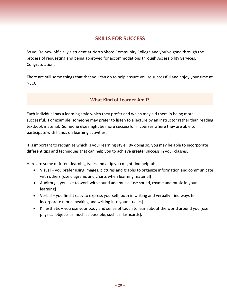# **SKILLS FOR SUCCESS**

<span id="page-19-0"></span>So you're now officially a student at North Shore Community College and you've gone through the process of requesting and being approved for accommodations through Accessibility Services. Congratulations!

<span id="page-19-1"></span>There are still some things that that you can do to help ensure you're successful and enjoy your time at NSCC.

# **What Kind of Learner Am I?**

Each individual has a learning style which they prefer and which may aid them in being more successful. For example, someone may prefer to listen to a lecture by an instructor rather than reading textbook material. Someone else might be more successful in courses where they are able to participate with hands on learning activities.

It is important to recognize which is your learning style. By doing so, you may be able to incorporate different tips and techniques that can help you to achieve greater success in your classes.

Here are some different learning types and a tip you might find helpful:

- Visual you prefer using images, pictures and graphs to organize information and communicate with others [use diagrams and charts when learning material]
- Auditory you like to work with sound and music [use sound, rhyme and music in your learning]
- Verbal you find it easy to express yourself, both in writing and verbally [find ways to incorporate more speaking and writing into your studies]
- Kinesthetic you use your body and sense of touch to learn about the world around you [use physical objects as much as possible, such as flashcards].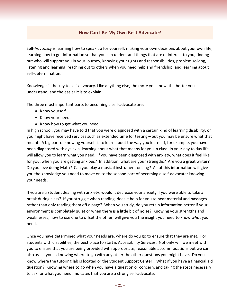# **How Can I Be My Own Best Advocate?**

<span id="page-20-0"></span>Self-Advocacy is learning how to speak up for yourself, making your own decisions about your own life, learning how to get information so that you can understand things that are of interest to you, finding out who will support you in your journey, knowing your rights and responsibilities, problem solving, listening and learning, reaching out to others when you need help and friendship, and learning about self-determination.

Knowledge is the key to self-advocacy. Like anything else, the more you know, the better you understand, and the easier it is to explain.

The three most important parts to becoming a self-advocate are:

- Know yourself
- Know your needs
- Know how to get what you need

In high school, you may have told that you were diagnosed with a certain kind of learning disability, or you might have received services such as extended time for testing – but you may be unsure what that meant. A big part of knowing yourself is to learn about the way you learn. If, for example, you have been diagnosed with dyslexia, learning about what that means for you in class, in your day to day life, will allow you to learn what you need. If you have been diagnosed with anxiety, what does it feel like, for you, when you are getting anxious? In addition, what are your strengths? Are you a great writer? Do you love doing Math? Can you play a musical instrument or sing? All of this information will give you the knowledge you need to move on to the second part of becoming a self-advocate: knowing your needs.

If you are a student dealing with anxiety, would it decrease your anxiety if you were able to take a break during class? If you struggle when reading, does it help for you to hear material and passages rather than only reading them off a page? When you study, do you retain information better if your environment is completely quiet or when there is a little bit of noise? Knowing your strengths and weaknesses, how to use one to offset the other, will give you the insight you need to know *what* you need.

Once you have determined what your needs are, where do you go to ensure that they are met. For students with disabilities, the best place to start is Accessibility Services. Not only will we meet with you to ensure that you are being provided with appropriate, reasonable accommodations but we can also assist you in knowing where to go with any other the other questions you might have. Do you know where the tutoring lab is located or the Student Support Center? What if you have a financial aid question? Knowing where to go when you have a question or concern, and taking the steps necessary to ask for what you need, indicates that you are a strong self-advocate.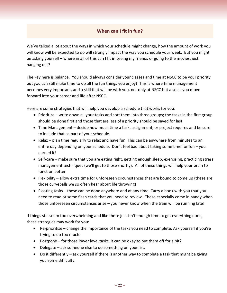# **When can I fit in fun?**

<span id="page-21-0"></span>We've talked a lot about the ways in which your schedule might change, how the amount of work you will know will be expected to do will strongly impact the way you schedule your week. But you might be asking yourself – where in all of this can I fit in seeing my friends or going to the movies, just hanging out?

The key here is balance. You should always consider your classes and time at NSCC to be your priority but you can still make time to do all the fun things you enjoy! This is where time management becomes very important, and a skill that will be with you, not only at NSCC but also as you move forward into your career and life after NSCC.

Here are some strategies that will help you develop a schedule that works for you:

- Prioritize write down all your tasks and sort them into three groups; the tasks in the first group should be done first and those that are less of a priority should be saved for last
- Time Management decide how much time a task, assignment, or project requires and be sure to include that as part of your schedule
- Relax plan time regularly to relax and have fun. This can be anywhere from minutes to an entire day depending on your schedule. Don't feel bad about taking some time for fun – you earned it!
- Self-care make sure that you are eating right, getting enough sleep, exercising, practicing stress management techniques (we'll get to those shortly). All of these things will help your brain to function better
- Flexibility allow extra time for unforeseen circumstances that are bound to come up (these are those curveballs we so often hear about life throwing)
- Floating tasks these can be done anywhere and at any time. Carry a book with you that you need to read or some flash cards that you need to review. These especially come in handy when those unforeseen circumstances arise – you never know when the train will be running late!

If things still seem too overwhelming and like there just isn't enough time to get everything done, these strategies may work for you:

- Re-prioritize change the importance of the tasks you need to complete. Ask yourself if you're trying to do too much.
- Postpone for those lower level tasks, it can be okay to put them off for a bit?
- Delegate ask someone else to do something on your list.
- Do it differently ask yourself if there is another way to complete a task that might be giving you some difficulty.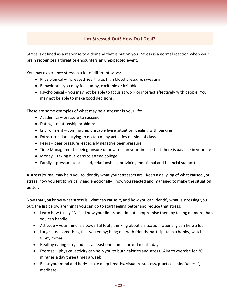# **I'm Stressed Out! How Do I Deal?**

<span id="page-22-0"></span>Stress is defined as a response to a demand that is put on you. Stress is a normal reaction when your brain recognizes a threat or encounters an unexpected event.

You may experience stress in a lot of different ways:

- Physiological increased heart rate, high blood pressure, sweating
- Behavioral you may feel jumpy, excitable or irritable
- Psychological you may not be able to focus at work or interact effectively with people. You may not be able to make good decisions.

These are some examples of what may be a stressor in your life:

- Academics pressure to succeed
- Dating relationship problems
- Environment commuting, unstable living situation, dealing with parking
- Extracurricular trying to do too many activities outside of class
- Peers peer pressure, especially negative peer pressure
- Time Management being unsure of how to plan your time so that there is balance in your life
- Money taking out loans to attend college
- Family pressure to succeed, relationships, providing emotional and financial support

A stress journal may help you to identify what your stressors are. Keep a daily log of what caused you stress, how you felt (physically and emotionally), how you reacted and managed to make the situation better.

Now that you know what stress is, what can cause it, and how you can identify what is stressing you out, the list below are things you can do to start feeling better and reduce that stress:

- Learn how to say "No" know your limits and do not compromise them by taking on more than you can handle
- Attitude your mind is a powerful tool ; thinking about a situation rationally can help a lot
- Laugh do something that you enjoy; hang out with friends, participate in a hobby, watch a funny movie
- Healthy eating try and eat at least one home cooked meal a day
- Exercise physical activity can help you to burn calories and stress. Aim to exercise for 30 minutes a day three times a week
- Relax your mind and body take deep breaths, visualize success, practice "mindfulness", meditate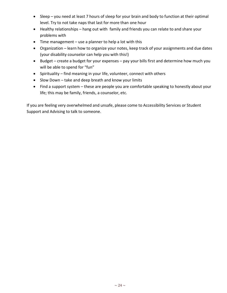- Sleep you need at least 7 hours of sleep for your brain and body to function at their optimal level. Try to not take naps that last for more than one hour
- Healthy relationships hang out with family and friends you can relate to and share your problems with
- Time management use a planner to help a lot with this
- Organization learn how to organize your notes, keep track of your assignments and due dates (your disability counselor can help you with this!)
- Budget create a budget for your expenses pay your bills first and determine how much you will be able to spend for "fun"
- Spirituality find meaning in your life, volunteer, connect with others
- Slow Down take and deep breath and know your limits
- Find a support system these are people you are comfortable speaking to honestly about your life; this may be family, friends, a counselor, etc.

If you are feeling very overwhelmed and unsafe, please come to Accessibility Services or Student Support and Advising to talk to someone.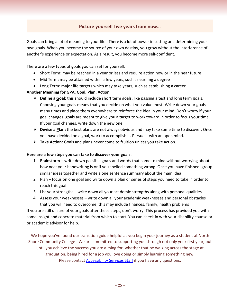# **Picture yourself five years from now…**

<span id="page-24-0"></span>Goals can bring a lot of meaning to your life. There is a lot of power in setting and determining your own goals. When you become the source of your own destiny, you grow without the interference of another's experience or expectation. As a result, you become more self-confident.

There are a few types of goals you can set for yourself:

- Short Term: may be reached in a year or less and require action now or in the near future
- Mid Term: may be attained within a few years, such as earning a degree
- Long Term: major life targets which may take years, such as establishing a career

#### **Another Meaning for GPA: Goal, Plan, Action**

- **Define a Goal:** this should include short term goals, like passing a test and long term goals. Choosing your goals means that you decide on what you value most. Write down your goals many times and place them everywhere to reinforce the idea in your mind. Don't worry if your goal changes; goals are meant to give you a target to work toward in order to focus your time. If your goal changes, write down the new one.
- **Devise a Plan:** the best plans are not always obvious and may take some time to discover. Once you have decided on a goal, work to accomplish it. Pursue it with an open mind.
- **Take Action:** Goals and plans never come to fruition unless you take action.

#### **Here are a few steps you can take to discover your goals:**

- 1. Brainstorm write down possible goals and words that come to mind without worrying about how neat your handwriting is or if you spelled something wrong. Once you have finished, group similar ideas together and write a one sentence summary about the main idea
- 2. Plan focus on one goal and write down a plan or series of steps you need to take in order to reach this goal
- 3. List your strengths write down all your academic strengths along with personal qualities
- 4. Assess your weaknesses write down all your academic weaknesses and personal obstacles that you will need to overcome; this may include finances, family, health problems

If you are still unsure of your goals after these steps, don't worry. This process has provided you with some insight and concrete material from which to start. You can check in with your disability counselor or academic advisor for help.

We hope you've found our transition guide helpful as you begin your journey as a student at North Shore Community College! We are committed to supporting you through not only your first year, but until you achieve the success you are aiming for, whether that be walking across the stage at graduation, being hired for a job you love doing or simply learning something new. Please contact **Accessibility Services Staff** if you have any questions.